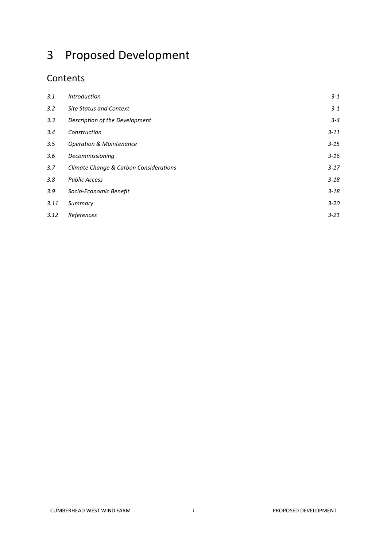# 3 Proposed Development

## Contents

| 3.1  | <b>Introduction</b>                    | $3 - 1$  |
|------|----------------------------------------|----------|
| 3.2  | <b>Site Status and Context</b>         | $3 - 1$  |
| 3.3  | Description of the Development         | $3 - 4$  |
| 3.4  | Construction                           | $3 - 11$ |
| 3.5  | <b>Operation &amp; Maintenance</b>     | $3 - 15$ |
| 3.6  | Decommissioning                        | $3 - 16$ |
| 3.7  | Climate Change & Carbon Considerations | $3 - 17$ |
| 3.8  | <b>Public Access</b>                   | $3 - 18$ |
| 3.9  | Socio-Economic Benefit                 | $3 - 18$ |
| 3.11 | Summary                                | $3 - 20$ |
| 3.12 | References                             | $3 - 21$ |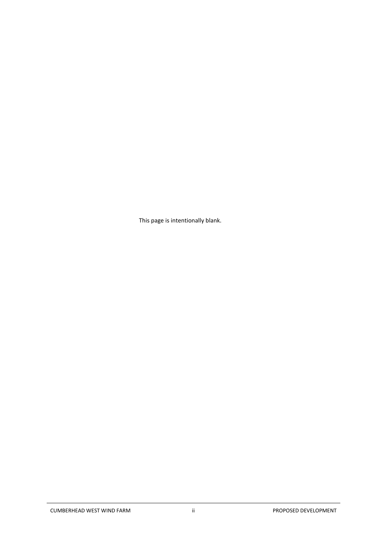This page is intentionally blank.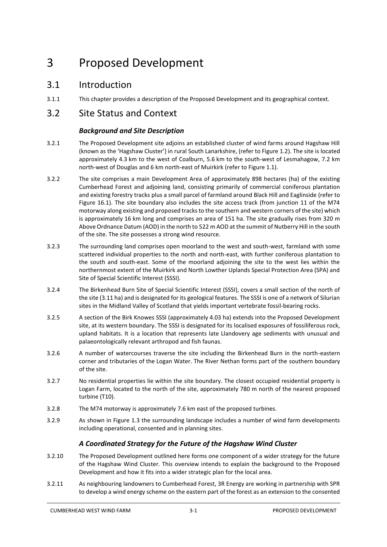# 3 Proposed Development

- <span id="page-2-0"></span>3.1 Introduction
- 3.1.1 This chapter provides a description of the Proposed Development and its geographical context.

## <span id="page-2-1"></span>3.2 Site Status and Context

## *Background and Site Description*

- 3.2.1 The Proposed Development site adjoins an established cluster of wind farms around Hagshaw Hill (known as the 'Hagshaw Cluster') in rural South Lanarkshire, (refer to Figure 1.2). The site is located approximately 4.3 km to the west of Coalburn, 5.6 km to the south-west of Lesmahagow, 7.2 km north-west of Douglas and 6 km north-east of Muirkirk (refer to Figure 1.1).
- 3.2.2 The site comprises a main Development Area of approximately 898 hectares (ha) of the existing Cumberhead Forest and adjoining land, consisting primarily of commercial coniferous plantation and existing forestry tracks plus a small parcel of farmland around Black Hill and Eaglinside (refer to Figure 16.1). The site boundary also includes the site access track (from junction 11 of the M74 motorway along existing and proposed tracks to the southern and western corners of the site) which is approximately 16 km long and comprises an area of 151 ha. The site gradually rises from 320 m Above Ordnance Datum (AOD) in the north to 522 m AOD at the summit of Nutberry Hill in the south of the site. The site possesses a strong wind resource.
- 3.2.3 The surrounding land comprises open moorland to the west and south-west, farmland with some scattered individual properties to the north and north-east, with further coniferous plantation to the south and south-east. Some of the moorland adjoining the site to the west lies within the northernmost extent of the Muirkirk and North Lowther Uplands Special Protection Area (SPA) and Site of Special Scientific Interest (SSSI).
- 3.2.4 The Birkenhead Burn Site of Special Scientific Interest (SSSI), covers a small section of the north of the site (3.11 ha) and is designated for its geological features. The SSSI is one of a network of Silurian sites in the Midland Valley of Scotland that yields important vertebrate fossil-bearing rocks.
- 3.2.5 A section of the Birk Knowes SSSI (approximately 4.03 ha) extends into the Proposed Development site, at its western boundary. The SSSI is designated for its localised exposures of fossiliferous rock, upland habitats. It is a location that represents late Llandovery age sediments with unusual and palaeontologically relevant arthropod and fish faunas.
- 3.2.6 A number of watercourses traverse the site including the Birkenhead Burn in the north-eastern corner and tributaries of the Logan Water. The River Nethan forms part of the southern boundary of the site.
- 3.2.7 No residential properties lie within the site boundary. The closest occupied residential property is Logan Farm, located to the north of the site, approximately 780 m north of the nearest proposed turbine (T10).
- 3.2.8 The M74 motorway is approximately 7.6 km east of the proposed turbines.
- 3.2.9 As shown in Figure 1.3 the surrounding landscape includes a number of wind farm developments including operational, consented and in planning sites.

## *A Coordinated Strategy for the Future of the Hagshaw Wind Cluster*

- 3.2.10 The Proposed Development outlined here forms one component of a wider strategy for the future of the Hagshaw Wind Cluster. This overview intends to explain the background to the Proposed Development and how it fits into a wider strategic plan for the local area.
- 3.2.11 As neighbouring landowners to Cumberhead Forest, 3R Energy are working in partnership with SPR to develop a wind energy scheme on the eastern part of the forest as an extension to the consented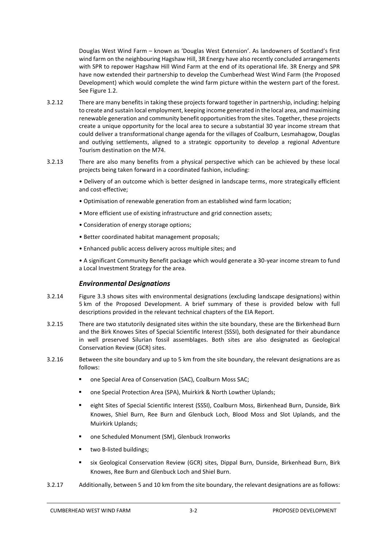Douglas West Wind Farm – known as 'Douglas West Extension'. As landowners of Scotland's first wind farm on the neighbouring Hagshaw Hill, 3R Energy have also recently concluded arrangements with SPR to repower Hagshaw Hill Wind Farm at the end of its operational life. 3R Energy and SPR have now extended their partnership to develop the Cumberhead West Wind Farm (the Proposed Development) which would complete the wind farm picture within the western part of the forest. See Figure 1.2.

- 3.2.12 There are many benefits in taking these projects forward together in partnership, including: helping to create and sustain local employment, keeping income generated in the local area, and maximising renewable generation and community benefit opportunities from the sites. Together, these projects create a unique opportunity for the local area to secure a substantial 30 year income stream that could deliver a transformational change agenda for the villages of Coalburn, Lesmahagow, Douglas and outlying settlements, aligned to a strategic opportunity to develop a regional Adventure Tourism destination on the M74.
- 3.2.13 There are also many benefits from a physical perspective which can be achieved by these local projects being taken forward in a coordinated fashion, including:

• Delivery of an outcome which is better designed in landscape terms, more strategically efficient and cost-effective;

- Optimisation of renewable generation from an established wind farm location;
- More efficient use of existing infrastructure and grid connection assets;
- Consideration of energy storage options;
- Better coordinated habitat management proposals;
- Enhanced public access delivery across multiple sites; and
- A significant Community Benefit package which would generate a 30-year income stream to fund a Local Investment Strategy for the area.

### *Environmental Designations*

- 3.2.14 Figure 3.3 shows sites with environmental designations (excluding landscape designations) within 5 km of the Proposed Development. A brief summary of these is provided below with full descriptions provided in the relevant technical chapters of the EIA Report.
- 3.2.15 There are two statutorily designated sites within the site boundary, these are the Birkenhead Burn and the Birk Knowes Sites of Special Scientific Interest (SSSI), both designated for their abundance in well preserved Silurian fossil assemblages. Both sites are also designated as Geological Conservation Review (GCR) sites.
- 3.2.16 Between the site boundary and up to 5 km from the site boundary, the relevant designations are as follows:
	- one Special Area of Conservation (SAC), Coalburn Moss SAC;
	- one Special Protection Area (SPA), Muirkirk & North Lowther Uplands;
	- eight Sites of Special Scientific Interest (SSSI), Coalburn Moss, Birkenhead Burn, Dunside, Birk Knowes, Shiel Burn, Ree Burn and Glenbuck Loch, Blood Moss and Slot Uplands, and the Muirkirk Uplands;
	- one Scheduled Monument (SM), Glenbuck Ironworks
	- two B-listed buildings;
	- six Geological Conservation Review (GCR) sites, Dippal Burn, Dunside, Birkenhead Burn, Birk Knowes, Ree Burn and Glenbuck Loch and Shiel Burn.
- 3.2.17 Additionally, between 5 and 10 km from the site boundary, the relevant designations are as follows: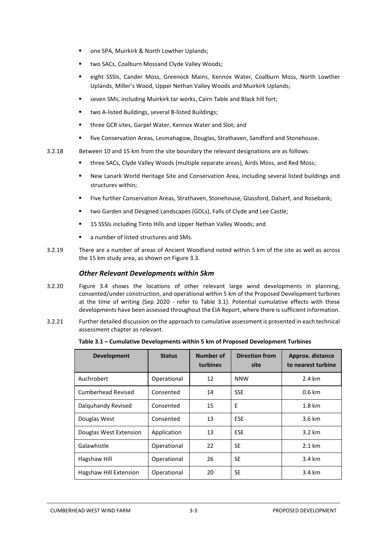- one SPA, Muirkirk & North Lowther Uplands;
- two SACs, Coalburn Mossand Clyde Valley Woods;
- eight SSSIs, Cander Moss, Greenock Mains, Kennox Water, Coalburn Moss, North Lowther Uplands, Miller's Wood, Upper Nethan Valley Woods and Muirkirk Uplands;
- seven SMs, including Muirkirk tar works, Cairn Table and Black hill fort;
- two A-listed Buildings, several B-listed Buildings;
- three GCR sites, Garpel Water, Kennox Water and Slot; and
- five Conservation Areas, Lesmahagow, Douglas, Strathaven, Sandford and Stonehouse.
- 3.2.18 Between 10 and 15 km from the site boundary the relevant designations are as follows:
	- three SACs, Clyde Valley Woods (multiple separate areas), Airds Moss, and Red Moss;
	- New Lanark World Heritage Site and Conservation Area, including several listed buildings and structures within;
	- Five further Conservation Areas, Strathaven, Stonehouse, Glassford, Dalserf, and Rosebank;
	- two Garden and Designed Landscapes (GDLs), Falls of Clyde and Lee Castle;
	- 15 SSSIs including Tinto Hills and Upper Nethan Valley Woods; and
	- a number of listed structures and SMs.
- 3.2.19 There are a number of areas of Ancient Woodland noted within 5 km of the site as well as across the 15 km study area, as shown on Figure 3.3.

### *Other Relevant Developments within 5km*

- 3.2.20 Figure 3.4 shows the locations of other relevant large wind developments in planning, consented/under construction, and operational within 5 km of the Proposed Development turbines at the time of writing (Sep 2020 - refer to Table 3.1). Potential cumulative effects with these developments have been assessed throughout the EIA Report, where there is sufficient information.
- 3.2.21 Further detailed discussion on the approach to cumulative assessment is presented in each technical assessment chapter as relevant.

#### **Table 3.1 – Cumulative Developments within 5 km of Proposed Development Turbines**

| <b>Development</b>        | <b>Status</b> | Number of<br>turbines | <b>Direction from</b><br>site | Approx. distance<br>to nearest turbine |  |  |
|---------------------------|---------------|-----------------------|-------------------------------|----------------------------------------|--|--|
| Auchrobert                | Operational   | 12                    | <b>NNW</b>                    | 2.4 km                                 |  |  |
| <b>Cumberhead Revised</b> | Consented     | 14                    | <b>SSE</b>                    | $0.6 \mathrm{km}$                      |  |  |
| Dalquhandy Revised        | Consented     | 15                    | E                             | $1.8 \text{ km}$                       |  |  |
| Douglas West              | Consented     | 13                    | <b>ESE</b>                    | 3.6 km                                 |  |  |
| Douglas West Extension    | Application   | 13                    | <b>ESE</b>                    | $3.2 \text{ km}$                       |  |  |
| Galawhistle               | Operational   | 22                    | <b>SE</b>                     | $2.1 \text{ km}$                       |  |  |
| Hagshaw Hill              | Operational   | 26                    | <b>SE</b>                     | 3.4 km                                 |  |  |
| Hagshaw Hill Extension    | Operational   | 20                    | <b>SE</b>                     | 3.4 km                                 |  |  |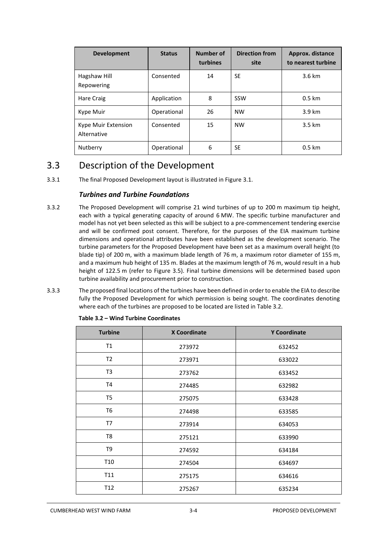| <b>Development</b>                 | <b>Status</b> | <b>Number of</b><br>turbines | <b>Direction from</b><br>site | Approx. distance<br>to nearest turbine |
|------------------------------------|---------------|------------------------------|-------------------------------|----------------------------------------|
| Hagshaw Hill<br>Repowering         | Consented     | 14                           | <b>SE</b>                     | $3.6 \text{ km}$                       |
| Hare Craig                         | Application   | 8                            | SSW                           | 0.5 km                                 |
| Kype Muir                          | Operational   | 26                           | <b>NW</b>                     | $3.9 \text{ km}$                       |
| Kype Muir Extension<br>Alternative | Consented     | 15                           | <b>NW</b>                     | 3.5 km                                 |
| Nutberry                           | Operational   | 6                            | <b>SE</b>                     | 0.5 km                                 |

## <span id="page-5-0"></span>3.3 Description of the Development

3.3.1 The final Proposed Development layout is illustrated in Figure 3.1.

## *Turbines and Turbine Foundations*

- 3.3.2 The Proposed Development will comprise 21 wind turbines of up to 200 m maximum tip height, each with a typical generating capacity of around 6 MW. The specific turbine manufacturer and model has not yet been selected as this will be subject to a pre-commencement tendering exercise and will be confirmed post consent. Therefore, for the purposes of the EIA maximum turbine dimensions and operational attributes have been established as the development scenario. The turbine parameters for the Proposed Development have been set as a maximum overall height (to blade tip) of 200 m, with a maximum blade length of 76 m, a maximum rotor diameter of 155 m, and a maximum hub height of 135 m. Blades at the maximum length of 76 m, would result in a hub height of 122.5 m (refer to Figure 3.5). Final turbine dimensions will be determined based upon turbine availability and procurement prior to construction.
- 3.3.3 The proposed final locations of the turbines have been defined in order to enable the EIA to describe fully the Proposed Development for which permission is being sought. The coordinates denoting where each of the turbines are proposed to be located are listed in Table 3.2.

| <b>Turbine</b>  | <b>X Coordinate</b> | <b>Y Coordinate</b> |
|-----------------|---------------------|---------------------|
| T1              | 273972              | 632452              |
| T <sub>2</sub>  | 273971              | 633022              |
| T3              | 273762              | 633452              |
| T <sub>4</sub>  | 274485              | 632982              |
| T5              | 275075              | 633428              |
| T6              | 274498              | 633585              |
| T7              | 273914              | 634053              |
| T8              | 275121              | 633990              |
| T <sub>9</sub>  | 274592              | 634184              |
| T <sub>10</sub> | 274504              | 634697              |
| T11             | 275175              | 634616              |
| T <sub>12</sub> | 275267              | 635234              |

### **Table 3.2 – Wind Turbine Coordinates**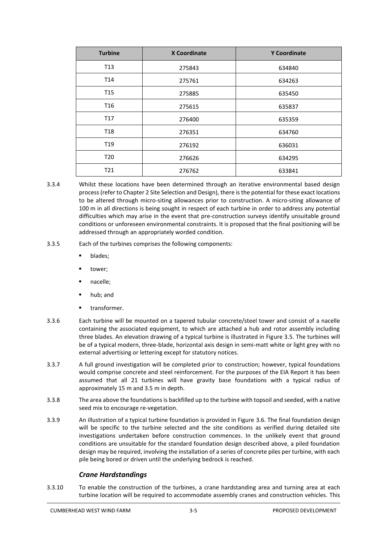| <b>Turbine</b>  | <b>X Coordinate</b> | <b>Y Coordinate</b> |
|-----------------|---------------------|---------------------|
| T <sub>13</sub> | 275843              | 634840              |
| T <sub>14</sub> | 275761              | 634263              |
| T <sub>15</sub> | 275885              | 635450              |
| T <sub>16</sub> | 275615              | 635837              |
| T <sub>17</sub> | 276400              | 635359              |
| T18             | 276351              | 634760              |
| T <sub>19</sub> | 276192              | 636031              |
| T <sub>20</sub> | 276626              | 634295              |
| T <sub>21</sub> | 276762              | 633841              |

3.3.4 Whilst these locations have been determined through an iterative environmental based design process (refer to Chapter 2 Site Selection and Design), there is the potential for these exact locations to be altered through micro-siting allowances prior to construction. A micro-siting allowance of 100 m in all directions is being sought in respect of each turbine in order to address any potential difficulties which may arise in the event that pre-construction surveys identify unsuitable ground conditions or unforeseen environmental constraints. It is proposed that the final positioning will be addressed through an appropriately worded condition.

- 3.3.5 Each of the turbines comprises the following components:
	- blades;
	- tower;
	- nacelle;
	- hub; and
	- transformer.
- 3.3.6 Each turbine will be mounted on a tapered tubular concrete/steel tower and consist of a nacelle containing the associated equipment, to which are attached a hub and rotor assembly including three blades. An elevation drawing of a typical turbine is illustrated in Figure 3.5. The turbines will be of a typical modern, three-blade, horizontal axis design in semi-matt white or light grey with no external advertising or lettering except for statutory notices.
- 3.3.7 A full ground investigation will be completed prior to construction; however, typical foundations would comprise concrete and steel reinforcement. For the purposes of the EIA Report it has been assumed that all 21 turbines will have gravity base foundations with a typical radius of approximately 15 m and 3.5 m in depth.
- 3.3.8 The area above the foundations is backfilled up to the turbine with topsoil and seeded, with a native seed mix to encourage re-vegetation.
- 3.3.9 An illustration of a typical turbine foundation is provided in Figure 3.6. The final foundation design will be specific to the turbine selected and the site conditions as verified during detailed site investigations undertaken before construction commences. In the unlikely event that ground conditions are unsuitable for the standard foundation design described above, a piled foundation design may be required, involving the installation of a series of concrete piles per turbine, with each pile being bored or driven until the underlying bedrock is reached.

## *Crane Hardstandings*

3.3.10 To enable the construction of the turbines, a crane hardstanding area and turning area at each turbine location will be required to accommodate assembly cranes and construction vehicles. This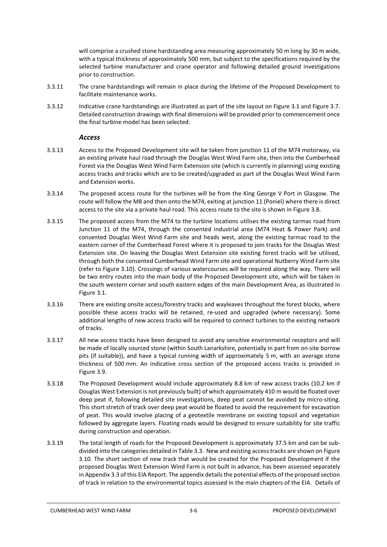will comprise a crushed stone hardstanding area measuring approximately 50 m long by 30 m wide, with a typical thickness of approximately 500 mm, but subject to the specifications required by the selected turbine manufacturer and crane operator and following detailed ground investigations prior to construction.

- 3.3.11 The crane hardstandings will remain in place during the lifetime of the Proposed Development to facilitate maintenance works.
- 3.3.12 Indicative crane hardstandings are illustrated as part of the site layout on Figure 3.1 and Figure 3.7. Detailed construction drawings with final dimensions will be provided prior to commencement once the final turbine model has been selected.

### *Access*

- 3.3.13 Access to the Proposed Development site will be taken from junction 11 of the M74 motorway, via an existing private haul road through the Douglas West Wind Farm site, then into the Cumberhead Forest via the Douglas West Wind Farm Extension site (which is currently in planning) using existing access tracks and tracks which are to be created/upgraded as part of the Douglas West Wind Farm and Extension works.
- 3.3.14 The proposed access route for the turbines will be from the King George V Port in Glasgow. The route will follow the M8 and then onto the M74, exiting at junction 11 (Poniel) where there is direct access to the site via a private haul road. This access route to the site is shown in Figure 3.8.
- 3.3.15 The proposed access from the M74 to the turbine locations utilises the existing tarmac road from Junction 11 of the M74, through the consented industrial area (M74 Heat & Power Park) and consented Douglas West Wind Farm site and heads west, along the existing tarmac road to the eastern corner of the Cumberhead Forest where it is proposed to join tracks for the Douglas West Extension site. On leaving the Douglas West Extension site existing forest tracks will be utilised, through both the consented Cumberhead Wind Farm site and operational Nutberry Wind Farm site (refer to Figure 3.10). Crossings of various watercourses will be required along the way. There will be two entry routes into the main body of the Proposed Development site, which will be taken in the south western corner and south eastern edges of the main Development Area, as illustrated in Figure 3.1.
- 3.3.16 There are existing onsite access/forestry tracks and wayleaves throughout the forest blocks, where possible these access tracks will be retained, re-used and upgraded (where necessary). Some additional lengths of new access tracks will be required to connect turbines to the existing network of tracks.
- 3.3.17 All new access tracks have been designed to avoid any sensitive environmental receptors and will be made of locally sourced stone (within South Lanarkshire, potentially in part from on-site borrow pits (if suitable)), and have a typical running width of approximately 5 m, with an average stone thickness of 500 mm. An indicative cross section of the proposed access tracks is provided in Figure 3.9.
- 3.3.18 The Proposed Development would include approximately 8.8 km of new access tracks (10.2 km if Douglas West Extension is not previously built) of which approximately 410 m would be floated over deep peat if, following detailed site investigations, deep peat cannot be avoided by micro-siting. This short stretch of track over deep peat would be floated to avoid the requirement for excavation of peat. This would involve placing of a geotextile membrane on existing topsoil and vegetation followed by aggregate layers. Floating roads would be designed to ensure suitability for site traffic during construction and operation.
- 3.3.19 The total length of roads for the Proposed Development is approximately 37.5 km and can be subdivided into the categories detailed in Table 3.3. New and existing access tracks are shown on Figure 3.10. The short section of new track that would be created for the Proposed Development if the proposed Douglas West Extension Wind Farm is not built in advance, has been assessed separately in Appendix 3.3 of this EIA Report. The appendix details the potential effects of the proposed section of track in relation to the environmental topics assessed in the main chapters of the EIA. Details of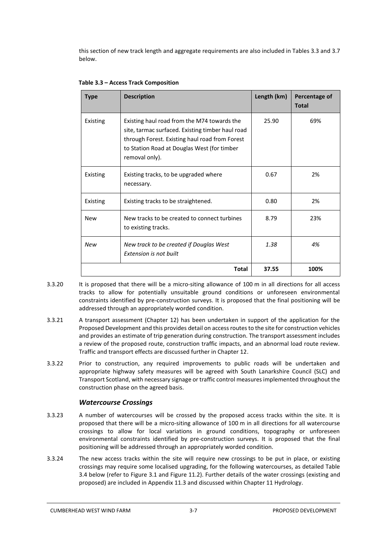this section of new track length and aggregate requirements are also included in Tables 3.3 and 3.7 below.

| <b>Type</b> | <b>Description</b>                                                                                                                                                                                                 | Length (km) | Percentage of<br><b>Total</b> |
|-------------|--------------------------------------------------------------------------------------------------------------------------------------------------------------------------------------------------------------------|-------------|-------------------------------|
| Existing    | Existing haul road from the M74 towards the<br>site, tarmac surfaced. Existing timber haul road<br>through Forest. Existing haul road from Forest<br>to Station Road at Douglas West (for timber<br>removal only). | 25.90       | 69%                           |
| Existing    | Existing tracks, to be upgraded where<br>necessary.                                                                                                                                                                | 0.67        | 2%                            |
| Existing    | Existing tracks to be straightened.                                                                                                                                                                                | 0.80        | 2%                            |
| <b>New</b>  | New tracks to be created to connect turbines<br>to existing tracks.                                                                                                                                                | 8.79        | 23%                           |
| <b>New</b>  | New track to be created if Douglas West<br>Extension is not built                                                                                                                                                  | 1.38        | 4%                            |
|             | Total                                                                                                                                                                                                              | 37.55       | 100%                          |

**Table 3.3 – Access Track Composition**

- 3.3.20 It is proposed that there will be a micro-siting allowance of 100 m in all directions for all access tracks to allow for potentially unsuitable ground conditions or unforeseen environmental constraints identified by pre-construction surveys. It is proposed that the final positioning will be addressed through an appropriately worded condition.
- 3.3.21 A transport assessment (Chapter 12) has been undertaken in support of the application for the Proposed Development and this provides detail on access routes to the site for construction vehicles and provides an estimate of trip generation during construction. The transport assessment includes a review of the proposed route, construction traffic impacts, and an abnormal load route review. Traffic and transport effects are discussed further in Chapter 12.
- 3.3.22 Prior to construction, any required improvements to public roads will be undertaken and appropriate highway safety measures will be agreed with South Lanarkshire Council (SLC) and Transport Scotland, with necessary signage or traffic control measures implemented throughout the construction phase on the agreed basis.

## *Watercourse Crossings*

- 3.3.23 A number of watercourses will be crossed by the proposed access tracks within the site. It is proposed that there will be a micro-siting allowance of 100 m in all directions for all watercourse crossings to allow for local variations in ground conditions, topography or unforeseen environmental constraints identified by pre-construction surveys. It is proposed that the final positioning will be addressed through an appropriately worded condition.
- 3.3.24 The new access tracks within the site will require new crossings to be put in place, or existing crossings may require some localised upgrading, for the following watercourses, as detailed Table 3.4 below (refer to Figure 3.1 and Figure 11.2). Further details of the water crossings (existing and proposed) are included in Appendix 11.3 and discussed within Chapter 11 Hydrology.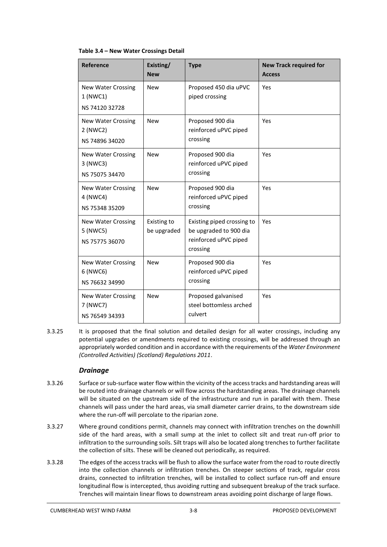### **Table 3.4 – New Water Crossings Detail**

| Reference                                               | Existing/<br><b>New</b>    | <b>Type</b>                                                                               | <b>New Track required for</b><br><b>Access</b> |
|---------------------------------------------------------|----------------------------|-------------------------------------------------------------------------------------------|------------------------------------------------|
| <b>New Water Crossing</b><br>1 (NWC1)<br>NS 74120 32728 | <b>New</b>                 | Proposed 450 dia uPVC<br>piped crossing                                                   | Yes                                            |
| <b>New Water Crossing</b><br>2 (NWC2)<br>NS 74896 34020 | <b>New</b>                 | Proposed 900 dia<br>reinforced uPVC piped<br>crossing                                     | Yes                                            |
| <b>New Water Crossing</b><br>3 (NWC3)<br>NS 75075 34470 | <b>New</b>                 | Proposed 900 dia<br>reinforced uPVC piped<br>crossing                                     | Yes                                            |
| <b>New Water Crossing</b><br>4 (NWC4)<br>NS 75348 35209 | <b>New</b>                 | Proposed 900 dia<br>reinforced uPVC piped<br>crossing                                     | Yes                                            |
| <b>New Water Crossing</b><br>5 (NWC5)<br>NS 75775 36070 | Existing to<br>be upgraded | Existing piped crossing to<br>be upgraded to 900 dia<br>reinforced uPVC piped<br>crossing | Yes                                            |
| <b>New Water Crossing</b><br>6 (NWC6)<br>NS 76632 34990 | <b>New</b>                 | Proposed 900 dia<br>reinforced uPVC piped<br>crossing                                     | Yes                                            |
| <b>New Water Crossing</b><br>7 (NWC7)<br>NS 76549 34393 | <b>New</b>                 | Proposed galvanised<br>steel bottomless arched<br>culvert                                 | Yes                                            |

3.3.25 It is proposed that the final solution and detailed design for all water crossings, including any potential upgrades or amendments required to existing crossings, will be addressed through an appropriately worded condition and in accordance with the requirements of the *Water Environment (Controlled Activities) (Scotland) Regulations 2011*.

## *Drainage*

- 3.3.26 Surface or sub-surface water flow within the vicinity of the access tracks and hardstanding areas will be routed into drainage channels or will flow across the hardstanding areas. The drainage channels will be situated on the upstream side of the infrastructure and run in parallel with them. These channels will pass under the hard areas, via small diameter carrier drains, to the downstream side where the run-off will percolate to the riparian zone.
- 3.3.27 Where ground conditions permit, channels may connect with infiltration trenches on the downhill side of the hard areas, with a small sump at the inlet to collect silt and treat run-off prior to infiltration to the surrounding soils. Silt traps will also be located along trenches to further facilitate the collection of silts. These will be cleaned out periodically, as required.
- 3.3.28 The edges of the access tracks will be flush to allow the surface water from the road to route directly into the collection channels or infiltration trenches. On steeper sections of track, regular cross drains, connected to infiltration trenches, will be installed to collect surface run-off and ensure longitudinal flow is intercepted, thus avoiding rutting and subsequent breakup of the track surface. Trenches will maintain linear flows to downstream areas avoiding point discharge of large flows.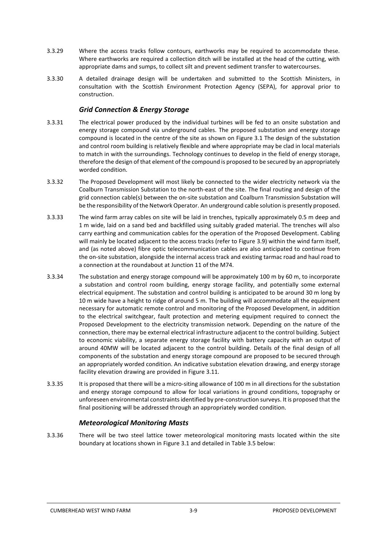- 3.3.29 Where the access tracks follow contours, earthworks may be required to accommodate these. Where earthworks are required a collection ditch will be installed at the head of the cutting, with appropriate dams and sumps, to collect silt and prevent sediment transfer to watercourses.
- 3.3.30 A detailed drainage design will be undertaken and submitted to the Scottish Ministers, in consultation with the Scottish Environment Protection Agency (SEPA), for approval prior to construction.

## *Grid Connection & Energy Storage*

- 3.3.31 The electrical power produced by the individual turbines will be fed to an onsite substation and energy storage compound via underground cables. The proposed substation and energy storage compound is located in the centre of the site as shown on Figure 3.1 The design of the substation and control room building is relatively flexible and where appropriate may be clad in local materials to match in with the surroundings. Technology continues to develop in the field of energy storage, therefore the design of that element of the compound is proposed to be secured by an appropriately worded condition.
- 3.3.32 The Proposed Development will most likely be connected to the wider electricity network via the Coalburn Transmission Substation to the north-east of the site. The final routing and design of the grid connection cable(s) between the on-site substation and Coalburn Transmission Substation will be the responsibility of the Network Operator. An underground cable solution is presently proposed.
- 3.3.33 The wind farm array cables on site will be laid in trenches, typically approximately 0.5 m deep and 1 m wide, laid on a sand bed and backfilled using suitably graded material. The trenches will also carry earthing and communication cables for the operation of the Proposed Development. Cabling will mainly be located adjacent to the access tracks (refer to Figure 3.9) within the wind farm itself, and (as noted above) fibre optic telecommunication cables are also anticipated to continue from the on-site substation, alongside the internal access track and existing tarmac road and haul road to a connection at the roundabout at Junction 11 of the M74.
- 3.3.34 The substation and energy storage compound will be approximately 100 m by 60 m, to incorporate a substation and control room building, energy storage facility, and potentially some external electrical equipment. The substation and control building is anticipated to be around 30 m long by 10 m wide have a height to ridge of around 5 m. The building will accommodate all the equipment necessary for automatic remote control and monitoring of the Proposed Development, in addition to the electrical switchgear, fault protection and metering equipment required to connect the Proposed Development to the electricity transmission network. Depending on the nature of the connection, there may be external electrical infrastructure adjacent to the control building. Subject to economic viability, a separate energy storage facility with battery capacity with an output of around 40MW will be located adjacent to the control building. Details of the final design of all components of the substation and energy storage compound are proposed to be secured through an appropriately worded condition. An indicative substation elevation drawing, and energy storage facility elevation drawing are provided in Figure 3.11.
- 3.3.35 It is proposed that there will be a micro-siting allowance of 100 m in all directions for the substation and energy storage compound to allow for local variations in ground conditions, topography or unforeseen environmental constraints identified by pre-construction surveys. It is proposed that the final positioning will be addressed through an appropriately worded condition.

## *Meteorological Monitoring Masts*

3.3.36 There will be two steel lattice tower meteorological monitoring masts located within the site boundary at locations shown in Figure 3.1 and detailed in Table 3.5 below: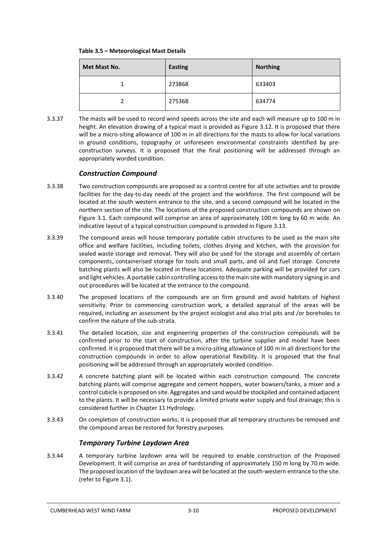| Table 3.5 - Meteorological Mast Details |  |
|-----------------------------------------|--|
|-----------------------------------------|--|

| Met Mast No. | <b>Easting</b> | <b>Northing</b> |
|--------------|----------------|-----------------|
|              | 273868         | 633403          |
|              | 275368         | 634774          |

3.3.37 The masts will be used to record wind speeds across the site and each will measure up to 100 m in height. An elevation drawing of a typical mast is provided as Figure 3.12. It is proposed that there will be a micro-siting allowance of 100 m in all directions for the masts to allow for local variations in ground conditions, topography or unforeseen environmental constraints identified by preconstruction surveys. It is proposed that the final positioning will be addressed through an appropriately worded condition.

## *Construction Compound*

- 3.3.38 Two construction compounds are proposed as a control centre for all site activities and to provide facilities for the day-to-day needs of the project and the workforce. The first compound will be located at the south western entrance to the site, and a second compound will be located in the northern section of the site. The locations of the proposed construction compounds are shown on Figure 3.1. Each compound will comprise an area of approximately 100 m long by 60 m wide. An indicative layout of a typical construction compound is provided in Figure 3.13.
- 3.3.39 The compound areas will house temporary portable cabin structures to be used as the main site office and welfare facilities, including toilets, clothes drying and kitchen, with the provision for sealed waste storage and removal. They will also be used for the storage and assembly of certain components, containerised storage for tools and small parts, and oil and fuel storage. Concrete batching plants will also be located in these locations. Adequate parking will be provided for cars and light vehicles. A portable cabin controlling access to the main site with mandatory signing in and out procedures will be located at the entrance to the compound.
- 3.3.40 The proposed locations of the compounds are on firm ground and avoid habitats of highest sensitivity. Prior to commencing construction work, a detailed appraisal of the areas will be required, including an assessment by the project ecologist and also trial pits and /or boreholes to confirm the nature of the sub-strata.
- 3.3.41 The detailed location, size and engineering properties of the construction compounds will be confirmed prior to the start of construction, after the turbine supplier and model have been confirmed. It is proposed that there will be a micro-siting allowance of 100 m in all directions for the construction compounds in order to allow operational flexibility. It is proposed that the final positioning will be addressed through an appropriately worded condition.
- 3.3.42 A concrete batching plant will be located within each construction compound. The concrete batching plants will comprise aggregate and cement hoppers, water bowsers/tanks, a mixer and a control cubicle is proposed on site. Aggregates and sand would be stockpiled and contained adjacent to the plants. It will be necessary to provide a limited private water supply and foul drainage; this is considered further in Chapter 11 Hydrology.
- 3.3.43 On completion of construction works, it is proposed that all temporary structures be removed and the compound areas be restored for forestry purposes.

## *Temporary Turbine Laydown Area*

3.3.44 A temporary turbine laydown area will be required to enable construction of the Proposed Development. It will comprise an area of hardstanding of approximately 150 m long by 70 m wide. The proposed location of the laydown area will be located at the south-western entrance to the site. (refer to Figure 3.1).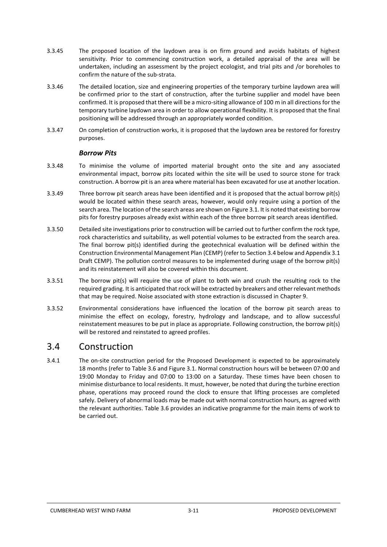- 3.3.45 The proposed location of the laydown area is on firm ground and avoids habitats of highest sensitivity. Prior to commencing construction work, a detailed appraisal of the area will be undertaken, including an assessment by the project ecologist, and trial pits and /or boreholes to confirm the nature of the sub-strata.
- 3.3.46 The detailed location, size and engineering properties of the temporary turbine laydown area will be confirmed prior to the start of construction, after the turbine supplier and model have been confirmed. It is proposed that there will be a micro-siting allowance of 100 m in all directions for the temporary turbine laydown area in order to allow operational flexibility. It is proposed that the final positioning will be addressed through an appropriately worded condition.
- 3.3.47 On completion of construction works, it is proposed that the laydown area be restored for forestry purposes.

## *Borrow Pits*

- 3.3.48 To minimise the volume of imported material brought onto the site and any associated environmental impact, borrow pits located within the site will be used to source stone for track construction. A borrow pit is an area where material has been excavated for use at another location.
- 3.3.49 Three borrow pit search areas have been identified and it is proposed that the actual borrow pit(s) would be located within these search areas, however, would only require using a portion of the search area. The location of the search areas are shown on Figure 3.1. It is noted that existing borrow pits for forestry purposes already exist within each of the three borrow pit search areas identified.
- 3.3.50 Detailed site investigations prior to construction will be carried out to further confirm the rock type, rock characteristics and suitability, as well potential volumes to be extracted from the search area. The final borrow pit(s) identified during the geotechnical evaluation will be defined within the Construction Environmental Management Plan (CEMP) (refer to Section 3.4 below and Appendix 3.1 Draft CEMP). The pollution control measures to be implemented during usage of the borrow pit(s) and its reinstatement will also be covered within this document.
- 3.3.51 The borrow pit(s) will require the use of plant to both win and crush the resulting rock to the required grading. It is anticipated that rock will be extracted by breakers and other relevant methods that may be required. Noise associated with stone extraction is discussed in Chapter 9.
- 3.3.52 Environmental considerations have influenced the location of the borrow pit search areas to minimise the effect on ecology, forestry, hydrology and landscape, and to allow successful reinstatement measures to be put in place as appropriate. Following construction, the borrow pit(s) will be restored and reinstated to agreed profiles.

## <span id="page-12-0"></span>3.4 Construction

3.4.1 The on-site construction period for the Proposed Development is expected to be approximately 18 months (refer to Table 3.6 and Figure 3.1. Normal construction hours will be between 07:00 and 19:00 Monday to Friday and 07:00 to 13:00 on a Saturday. These times have been chosen to minimise disturbance to local residents. It must, however, be noted that during the turbine erection phase, operations may proceed round the clock to ensure that lifting processes are completed safely. Delivery of abnormal loads may be made out with normal construction hours, as agreed with the relevant authorities. Table 3.6 provides an indicative programme for the main items of work to be carried out.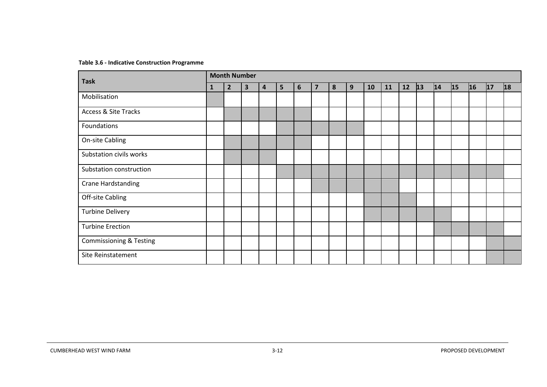#### **Table 3.6 - Indicative Construction Programme**

| <b>Task</b>                        | <b>Month Number</b> |                |   |   |                |   |                |   |   |    |    |    |    |    |    |    |    |    |
|------------------------------------|---------------------|----------------|---|---|----------------|---|----------------|---|---|----|----|----|----|----|----|----|----|----|
|                                    |                     | $\overline{2}$ | 3 | 4 | 5 <sup>5</sup> | 6 | $\overline{7}$ | 8 | 9 | 10 | 11 | 12 | 13 | 14 | 15 | 16 | 17 | 18 |
| Mobilisation                       |                     |                |   |   |                |   |                |   |   |    |    |    |    |    |    |    |    |    |
| <b>Access &amp; Site Tracks</b>    |                     |                |   |   |                |   |                |   |   |    |    |    |    |    |    |    |    |    |
| Foundations                        |                     |                |   |   |                |   |                |   |   |    |    |    |    |    |    |    |    |    |
| On-site Cabling                    |                     |                |   |   |                |   |                |   |   |    |    |    |    |    |    |    |    |    |
| Substation civils works            |                     |                |   |   |                |   |                |   |   |    |    |    |    |    |    |    |    |    |
| Substation construction            |                     |                |   |   |                |   |                |   |   |    |    |    |    |    |    |    |    |    |
| <b>Crane Hardstanding</b>          |                     |                |   |   |                |   |                |   |   |    |    |    |    |    |    |    |    |    |
| Off-site Cabling                   |                     |                |   |   |                |   |                |   |   |    |    |    |    |    |    |    |    |    |
| <b>Turbine Delivery</b>            |                     |                |   |   |                |   |                |   |   |    |    |    |    |    |    |    |    |    |
| <b>Turbine Erection</b>            |                     |                |   |   |                |   |                |   |   |    |    |    |    |    |    |    |    |    |
| <b>Commissioning &amp; Testing</b> |                     |                |   |   |                |   |                |   |   |    |    |    |    |    |    |    |    |    |
| Site Reinstatement                 |                     |                |   |   |                |   |                |   |   |    |    |    |    |    |    |    |    |    |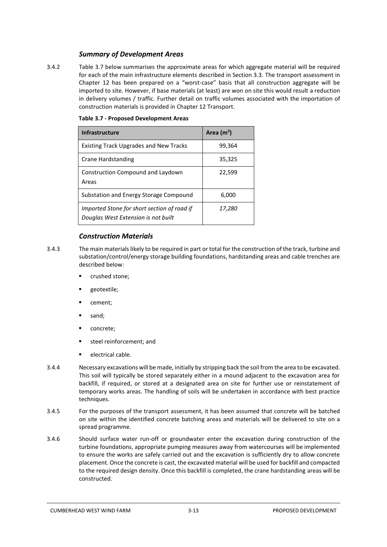### *Summary of Development Areas*

3.4.2 Table 3.7 below summarises the approximate areas for which aggregate material will be required for each of the main infrastructure elements described in Section 3.3. The transport assessment in Chapter 12 has been prepared on a "worst-case" basis that all construction aggregate will be imported to site. However, if base materials (at least) are won on site this would result a reduction in delivery volumes / traffic. Further detail on traffic volumes associated with the importation of construction materials is provided in Chapter 12 Transport.

| <b>Infrastructure</b>                                                              | Area $(m^3)$ |  |  |  |  |  |
|------------------------------------------------------------------------------------|--------------|--|--|--|--|--|
| <b>Existing Track Upgrades and New Tracks</b>                                      | 99,364       |  |  |  |  |  |
| Crane Hardstanding                                                                 | 35,325       |  |  |  |  |  |
| Construction Compound and Laydown<br>Areas                                         | 22,599       |  |  |  |  |  |
| Substation and Energy Storage Compound                                             | 6,000        |  |  |  |  |  |
| Imported Stone for short section of road if<br>Douglas West Extension is not built | 17,280       |  |  |  |  |  |

#### **Table 3.7 - Proposed Development Areas**

#### *Construction Materials*

- 3.4.3 The main materials likely to be required in part or total for the construction of the track, turbine and substation/control/energy storage building foundations, hardstanding areas and cable trenches are described below:
	- crushed stone;
	- geotextile;
	- cement;
	- sand;
	- concrete;
	- steel reinforcement; and
	- electrical cable.
- 3.4.4 Necessary excavations will be made, initially by stripping back the soil from the area to be excavated. This soil will typically be stored separately either in a mound adjacent to the excavation area for backfill, if required, or stored at a designated area on site for further use or reinstatement of temporary works areas. The handling of soils will be undertaken in accordance with best practice techniques.
- 3.4.5 For the purposes of the transport assessment, it has been assumed that concrete will be batched on site within the identified concrete batching areas and materials will be delivered to site on a spread programme.
- 3.4.6 Should surface water run-off or groundwater enter the excavation during construction of the turbine foundations, appropriate pumping measures away from watercourses will be implemented to ensure the works are safely carried out and the excavation is sufficiently dry to allow concrete placement. Once the concrete is cast, the excavated material will be used for backfill and compacted to the required design density. Once this backfill is completed, the crane hardstanding areas will be constructed.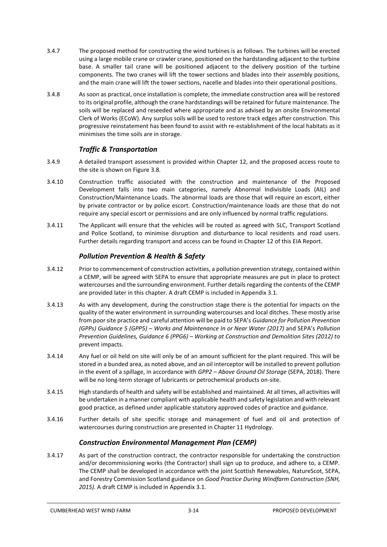- 3.4.7 The proposed method for constructing the wind turbines is as follows. The turbines will be erected using a large mobile crane or crawler crane, positioned on the hardstanding adjacent to the turbine base. A smaller tail crane will be positioned adjacent to the delivery position of the turbine components. The two cranes will lift the tower sections and blades into their assembly positions, and the main crane will lift the tower sections, nacelle and blades into their operational positions.
- 3.4.8 As soon as practical, once installation is complete, the immediate construction area will be restored to its original profile, although the crane hardstandings will be retained for future maintenance. The soils will be replaced and reseeded where appropriate and as advised by an onsite Environmental Clerk of Works (ECoW). Any surplus soils will be used to restore track edges after construction. This progressive reinstatement has been found to assist with re-establishment of the local habitats as it minimises the time soils are in storage.

## *Traffic & Transportation*

- 3.4.9 A detailed transport assessment is provided within Chapter 12, and the proposed access route to the site is shown on Figure 3.8.
- 3.4.10 Construction traffic associated with the construction and maintenance of the Proposed Development falls into two main categories, namely Abnormal Indivisible Loads (AIL) and Construction/Maintenance Loads. The abnormal loads are those that will require an escort, either by private contractor or by police escort. Construction/maintenance loads are those that do not require any special escort or permissions and are only influenced by normal traffic regulations.
- 3.4.11 The Applicant will ensure that the vehicles will be routed as agreed with SLC, Transport Scotland and Police Scotland, to minimise disruption and disturbance to local residents and road users. Further details regarding transport and access can be found in Chapter 12 of this EIA Report.

## *Pollution Prevention & Health & Safety*

- 3.4.12 Prior to commencement of construction activities, a pollution prevention strategy, contained within a CEMP, will be agreed with SEPA to ensure that appropriate measures are put in place to protect watercourses and the surrounding environment. Further details regarding the contents of the CEMP are provided later in this chapter. A draft CEMP is included in Appendix 3.1.
- 3.4.13 As with any development, during the construction stage there is the potential for impacts on the quality of the water environment in surrounding watercourses and local ditches. These mostly arise from poor site practice and careful attention will be paid to SEPA's *Guidance for Pollution Prevention (GPPs) Guidance 5 (GPP5) – Works and Maintenance In or Near Water (2017)* and SEPA's *Pollution Prevention Guidelines, Guidance 6 (PPG6) – Working at Construction and Demolition Sites (2012) t*o prevent impacts.
- 3.4.14 Any fuel or oil held on site will only be of an amount sufficient for the plant required. This will be stored in a bunded area, as noted above, and an oil interceptor will be installed to prevent pollution in the event of a spillage, in accordance with *GPP2 – Above Ground Oil Storage* (SEPA, 2018). There will be no long-term storage of lubricants or petrochemical products on-site.
- 3.4.15 High standards of health and safety will be established and maintained. At all times, all activities will be undertaken in a manner compliant with applicable health and safety legislation and with relevant good practice, as defined under applicable statutory approved codes of practice and guidance.
- 3.4.16 Further details of site specific storage and management of fuel and oil and protection of watercourses during construction are presented in Chapter 11 Hydrology.

## *Construction Environmental Management Plan (CEMP)*

3.4.17 As part of the construction contract, the contractor responsible for undertaking the construction and/or decommissioning works (the Contractor) shall sign up to produce, and adhere to, a CEMP. The CEMP shall be developed in accordance with the joint Scottish Renewables, NatureScot, SEPA, and Forestry Commission Scotland guidance on *Good Practice During Windfarm Construction (SNH, 2015).* A draft CEMP is included in Appendix 3.1.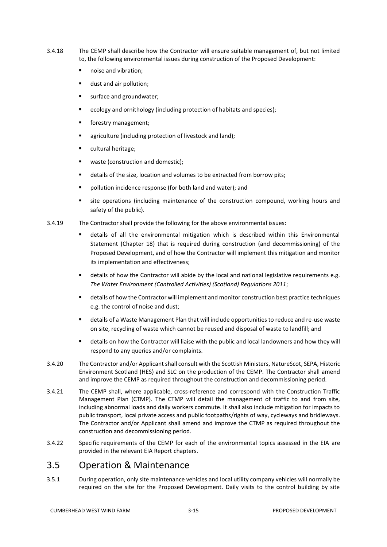- 3.4.18 The CEMP shall describe how the Contractor will ensure suitable management of, but not limited to, the following environmental issues during construction of the Proposed Development:
	- noise and vibration:
	- dust and air pollution;
	- surface and groundwater;
	- ecology and ornithology (including protection of habitats and species);
	- **■** forestry management;
	- agriculture (including protection of livestock and land);
	- cultural heritage;
	- waste (construction and domestic);
	- details of the size, location and volumes to be extracted from borrow pits;
	- pollution incidence response (for both land and water); and
	- site operations (including maintenance of the construction compound, working hours and safety of the public).
- 3.4.19 The Contractor shall provide the following for the above environmental issues:
	- details of all the environmental mitigation which is described within this Environmental Statement (Chapter 18) that is required during construction (and decommissioning) of the Proposed Development, and of how the Contractor will implement this mitigation and monitor its implementation and effectiveness;
	- details of how the Contractor will abide by the local and national legislative requirements e.g. *The Water Environment (Controlled Activities) (Scotland) Regulations 2011*;
	- details of how the Contractor will implement and monitor construction best practice techniques e.g. the control of noise and dust;
	- details of a Waste Management Plan that will include opportunities to reduce and re-use waste on site, recycling of waste which cannot be reused and disposal of waste to landfill; and
	- details on how the Contractor will liaise with the public and local landowners and how they will respond to any queries and/or complaints.
- 3.4.20 The Contractor and/or Applicant shall consult with the Scottish Ministers, NatureScot, SEPA, Historic Environment Scotland (HES) and SLC on the production of the CEMP. The Contractor shall amend and improve the CEMP as required throughout the construction and decommissioning period.
- 3.4.21 The CEMP shall, where applicable, cross-reference and correspond with the Construction Traffic Management Plan (CTMP). The CTMP will detail the management of traffic to and from site, including abnormal loads and daily workers commute. It shall also include mitigation for impacts to public transport, local private access and public footpaths/rights of way, cycleways and bridleways. The Contractor and/or Applicant shall amend and improve the CTMP as required throughout the construction and decommissioning period.
- 3.4.22 Specific requirements of the CEMP for each of the environmental topics assessed in the EIA are provided in the relevant EIA Report chapters.

## <span id="page-16-0"></span>3.5 Operation & Maintenance

3.5.1 During operation, only site maintenance vehicles and local utility company vehicles will normally be required on the site for the Proposed Development. Daily visits to the control building by site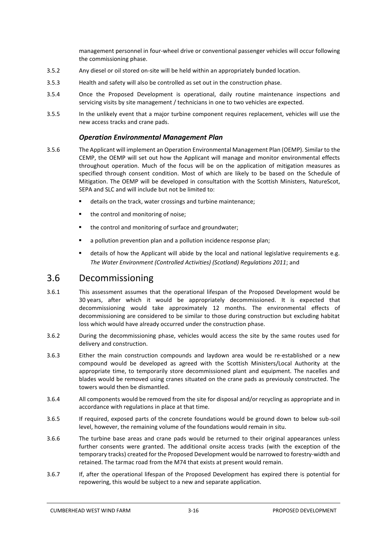management personnel in four-wheel drive or conventional passenger vehicles will occur following the commissioning phase.

- 3.5.2 Any diesel or oil stored on-site will be held within an appropriately bunded location.
- 3.5.3 Health and safety will also be controlled as set out in the construction phase.
- 3.5.4 Once the Proposed Development is operational, daily routine maintenance inspections and servicing visits by site management / technicians in one to two vehicles are expected.
- 3.5.5 In the unlikely event that a major turbine component requires replacement, vehicles will use the new access tracks and crane pads.

### *Operation Environmental Management Plan*

- 3.5.6 The Applicant will implement an Operation Environmental Management Plan (OEMP). Similar to the CEMP, the OEMP will set out how the Applicant will manage and monitor environmental effects throughout operation. Much of the focus will be on the application of mitigation measures as specified through consent condition. Most of which are likely to be based on the Schedule of Mitigation. The OEMP will be developed in consultation with the Scottish Ministers, NatureScot, SEPA and SLC and will include but not be limited to:
	- details on the track, water crossings and turbine maintenance;
	- the control and monitoring of noise;
	- the control and monitoring of surface and groundwater:
	- a pollution prevention plan and a pollution incidence response plan;
	- **■** details of how the Applicant will abide by the local and national legislative requirements e.g. *The Water Environment (Controlled Activities) (Scotland) Regulations 2011*; and

## <span id="page-17-0"></span>3.6 Decommissioning

- 3.6.1 This assessment assumes that the operational lifespan of the Proposed Development would be 30 years, after which it would be appropriately decommissioned. It is expected that decommissioning would take approximately 12 months. The environmental effects of decommissioning are considered to be similar to those during construction but excluding habitat loss which would have already occurred under the construction phase.
- 3.6.2 During the decommissioning phase, vehicles would access the site by the same routes used for delivery and construction.
- 3.6.3 Either the main construction compounds and laydown area would be re-established or a new compound would be developed as agreed with the Scottish Ministers/Local Authority at the appropriate time, to temporarily store decommissioned plant and equipment. The nacelles and blades would be removed using cranes situated on the crane pads as previously constructed. The towers would then be dismantled.
- 3.6.4 All components would be removed from the site for disposal and/or recycling as appropriate and in accordance with regulations in place at that time.
- 3.6.5 If required, exposed parts of the concrete foundations would be ground down to below sub-soil level, however, the remaining volume of the foundations would remain in situ.
- 3.6.6 The turbine base areas and crane pads would be returned to their original appearances unless further consents were granted. The additional onsite access tracks (with the exception of the temporary tracks) created for the Proposed Development would be narrowed to forestry-width and retained. The tarmac road from the M74 that exists at present would remain.
- 3.6.7 If, after the operational lifespan of the Proposed Development has expired there is potential for repowering, this would be subject to a new and separate application.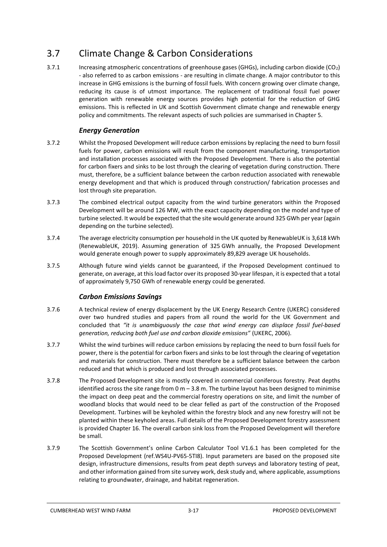## <span id="page-18-0"></span>3.7 Climate Change & Carbon Considerations

3.7.1 Increasing atmospheric concentrations of greenhouse gases (GHGs), including carbon dioxide (CO2) - also referred to as carbon emissions - are resulting in climate change. A major contributor to this increase in GHG emissions is the burning of fossil fuels. With concern growing over climate change, reducing its cause is of utmost importance. The replacement of traditional fossil fuel power generation with renewable energy sources provides high potential for the reduction of GHG emissions. This is reflected in UK and Scottish Government climate change and renewable energy policy and commitments. The relevant aspects of such policies are summarised in Chapter 5.

## *Energy Generation*

- 3.7.2 Whilst the Proposed Development will reduce carbon emissions by replacing the need to burn fossil fuels for power, carbon emissions will result from the component manufacturing, transportation and installation processes associated with the Proposed Development. There is also the potential for carbon fixers and sinks to be lost through the clearing of vegetation during construction. There must, therefore, be a sufficient balance between the carbon reduction associated with renewable energy development and that which is produced through construction/ fabrication processes and lost through site preparation.
- 3.7.3 The combined electrical output capacity from the wind turbine generators within the Proposed Development will be around 126 MW, with the exact capacity depending on the model and type of turbine selected. It would be expected that the site would generate around 325 GWh per year (again depending on the turbine selected).
- 3.7.4 The average electricity consumption per household in the UK quoted by RenewableUK is 3,618 kWh (RenewableUK, 2019). Assuming generation of 325 GWh annually, the Proposed Development would generate enough power to supply approximately 89,829 average UK households.
- 3.7.5 Although future wind yields cannot be guaranteed, if the Proposed Development continued to generate, on average, at this load factor over its proposed 30-year lifespan, it is expected that a total of approximately 9,750 GWh of renewable energy could be generated.

## *Carbon Emissions Savings*

- 3.7.6 A technical review of energy displacement by the UK Energy Research Centre (UKERC) considered over two hundred studies and papers from all round the world for the UK Government and concluded that *"it is unambiguously the case that wind energy can displace fossil fuel-based generation, reducing both fuel use and carbon dioxide emissions"* (UKERC, 2006).
- 3.7.7 Whilst the wind turbines will reduce carbon emissions by replacing the need to burn fossil fuels for power, there is the potential for carbon fixers and sinks to be lost through the clearing of vegetation and materials for construction. There must therefore be a sufficient balance between the carbon reduced and that which is produced and lost through associated processes.
- 3.7.8 The Proposed Development site is mostly covered in commercial coniferous forestry. Peat depths identified across the site range from  $0 \text{ m} - 3.8 \text{ m}$ . The turbine layout has been designed to minimise the impact on deep peat and the commercial forestry operations on site, and limit the number of woodland blocks that would need to be clear felled as part of the construction of the Proposed Development. Turbines will be keyholed within the forestry block and any new forestry will not be planted within these keyholed areas. Full details of the Proposed Development forestry assessment is provided Chapter 16. The overall carbon sink loss from the Proposed Development will therefore be small.
- 3.7.9 The Scottish Government's online Carbon Calculator Tool V1.6.1 has been completed for the Proposed Development (ref.WS4U-PV65-5TI8). Input parameters are based on the proposed site design, infrastructure dimensions, results from peat depth surveys and laboratory testing of peat, and other information gained from site survey work, desk study and, where applicable, assumptions relating to groundwater, drainage, and habitat regeneration.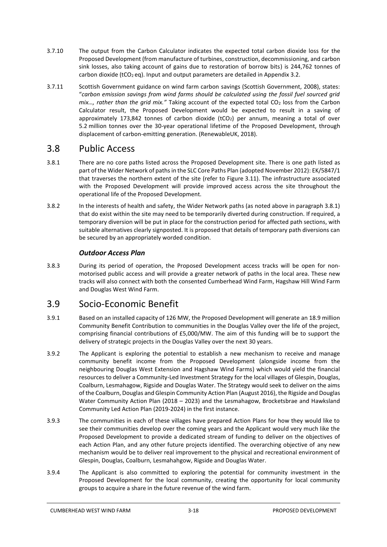- 3.7.10 The output from the Carbon Calculator indicates the expected total carbon dioxide loss for the Proposed Development (from manufacture of turbines, construction, decommissioning, and carbon sink losses, also taking account of gains due to restoration of borrow bits) is 244,762 tonnes of carbon dioxide ( $tCO<sub>2</sub>$ eq). Input and output parameters are detailed in Appendix 3.2.
- 3.7.11 Scottish Government guidance on wind farm carbon savings (Scottish Government, 2008), states: "*carbon emission savings from wind farms should be calculated using the fossil fuel sourced grid mix…, rather than the grid mix."* Taking account of the expected total CO<sup>2</sup> loss from the Carbon Calculator result, the Proposed Development would be expected to result in a saving of approximately 173,842 tonnes of carbon dioxide (tCO<sub>2</sub>) per annum, meaning a total of over 5.2 million tonnes over the 30-year operational lifetime of the Proposed Development, through displacement of carbon-emitting generation. (RenewableUK, 2018).

## <span id="page-19-0"></span>3.8 Public Access

- 3.8.1 There are no core paths listed across the Proposed Development site. There is one path listed as part of the Wider Network of paths in the SLC Core Paths Plan (adopted November 2012): EK/5847/1 that traverses the northern extent of the site (refer to Figure 3.11). The infrastructure associated with the Proposed Development will provide improved access across the site throughout the operational life of the Proposed Development.
- 3.8.2 In the interests of health and safety, the Wider Network paths (as noted above in paragraph 3.8.1) that do exist within the site may need to be temporarily diverted during construction. If required, a temporary diversion will be put in place for the construction period for affected path sections, with suitable alternatives clearly signposted. It is proposed that details of temporary path diversions can be secured by an appropriately worded condition.

## *Outdoor Access Plan*

3.8.3 During its period of operation, the Proposed Development access tracks will be open for nonmotorised public access and will provide a greater network of paths in the local area. These new tracks will also connect with both the consented Cumberhead Wind Farm, Hagshaw Hill Wind Farm and Douglas West Wind Farm.

## <span id="page-19-1"></span>3.9 Socio-Economic Benefit

- 3.9.1 Based on an installed capacity of 126 MW, the Proposed Development will generate an 18.9 million Community Benefit Contribution to communities in the Douglas Valley over the life of the project, comprising financial contributions of £5,000/MW. The aim of this funding will be to support the delivery of strategic projects in the Douglas Valley over the next 30 years.
- 3.9.2 The Applicant is exploring the potential to establish a new mechanism to receive and manage community benefit income from the Proposed Development (alongside income from the neighbouring Douglas West Extension and Hagshaw Wind Farms) which would yield the financial resources to deliver a Community-Led Investment Strategy for the local villages of Glespin, Douglas, Coalburn, Lesmahagow, Rigside and Douglas Water. The Strategy would seek to deliver on the aims of the Coalburn, Douglas and Glespin Community Action Plan (August 2016), the Rigside and Douglas Water Community Action Plan (2018 – 2023) and the Lesmahagow, Brocketsbrae and Hawksland Community Led Action Plan (2019-2024) in the first instance.
- 3.9.3 The communities in each of these villages have prepared Action Plans for how they would like to see their communities develop over the coming years and the Applicant would very much like the Proposed Development to provide a dedicated stream of funding to deliver on the objectives of each Action Plan, and any other future projects identified. The overarching objective of any new mechanism would be to deliver real improvement to the physical and recreational environment of Glespin, Douglas, Coalburn, Lesmahahgow, Rigside and Douglas Water.
- 3.9.4 The Applicant is also committed to exploring the potential for community investment in the Proposed Development for the local community, creating the opportunity for local community groups to acquire a share in the future revenue of the wind farm.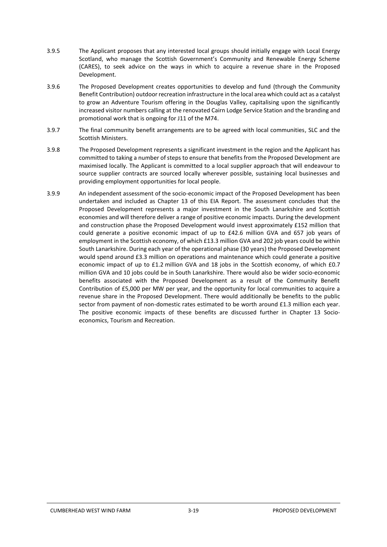- 3.9.5 The Applicant proposes that any interested local groups should initially engage with Local Energy Scotland, who manage the Scottish Government's Community and Renewable Energy Scheme (CARES), to seek advice on the ways in which to acquire a revenue share in the Proposed Development.
- 3.9.6 The Proposed Development creates opportunities to develop and fund (through the Community Benefit Contribution) outdoor recreation infrastructure in the local area which could act as a catalyst to grow an Adventure Tourism offering in the Douglas Valley, capitalising upon the significantly increased visitor numbers calling at the renovated Cairn Lodge Service Station and the branding and promotional work that is ongoing for J11 of the M74.
- 3.9.7 The final community benefit arrangements are to be agreed with local communities, SLC and the Scottish Ministers.
- 3.9.8 The Proposed Development represents a significant investment in the region and the Applicant has committed to taking a number of steps to ensure that benefits from the Proposed Development are maximised locally. The Applicant is committed to a local supplier approach that will endeavour to source supplier contracts are sourced locally wherever possible, sustaining local businesses and providing employment opportunities for local people.
- 3.9.9 An independent assessment of the socio-economic impact of the Proposed Development has been undertaken and included as Chapter 13 of this EIA Report. The assessment concludes that the Proposed Development represents a major investment in the South Lanarkshire and Scottish economies and will therefore deliver a range of positive economic impacts. During the development and construction phase the Proposed Development would invest approximately £152 million that could generate a positive economic impact of up to £42.6 million GVA and 657 job years of employment in the Scottish economy, of which £13.3 million GVA and 202 job years could be within South Lanarkshire. During each year of the operational phase (30 years) the Proposed Development would spend around £3.3 million on operations and maintenance which could generate a positive economic impact of up to £1.2 million GVA and 18 jobs in the Scottish economy, of which £0.7 million GVA and 10 jobs could be in South Lanarkshire. There would also be wider socio-economic benefits associated with the Proposed Development as a result of the Community Benefit Contribution of £5,000 per MW per year, and the opportunity for local communities to acquire a revenue share in the Proposed Development. There would additionally be benefits to the public sector from payment of non-domestic rates estimated to be worth around £1.3 million each year. The positive economic impacts of these benefits are discussed further in Chapter 13 Socioeconomics, Tourism and Recreation.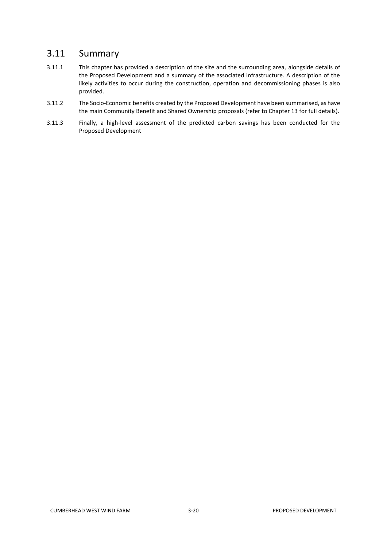## <span id="page-21-0"></span>3.11 Summary

- 3.11.1 This chapter has provided a description of the site and the surrounding area, alongside details of the Proposed Development and a summary of the associated infrastructure. A description of the likely activities to occur during the construction, operation and decommissioning phases is also provided.
- 3.11.2 The Socio-Economic benefits created by the Proposed Development have been summarised, as have the main Community Benefit and Shared Ownership proposals (refer to Chapter 13 for full details).
- 3.11.3 Finally, a high-level assessment of the predicted carbon savings has been conducted for the Proposed Development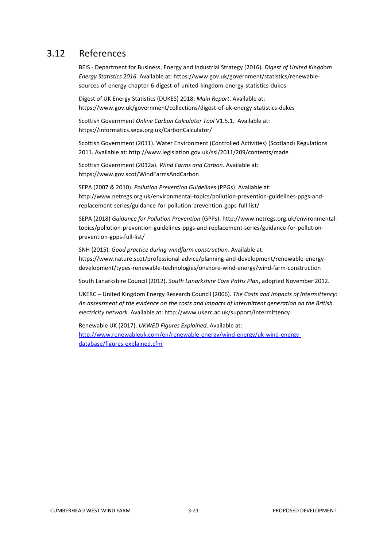## <span id="page-22-0"></span>3.12 References

BEIS - Department for Business, Energy and Industrial Strategy (2016). *Digest of United Kingdom Energy Statistics 2016*. Available at: https://www.gov.uk/government/statistics/renewablesources-of-energy-chapter-6-digest-of-united-kingdom-energy-statistics-dukes

Digest of UK Energy Statistics (DUKES) 2018: *Main Report*. Available at: https://www.gov.uk/government/collections/digest-of-uk-energy-statistics-dukes

Scottish Government *Online Carbon Calculator Tool* V1.5.1. Available at: https://informatics.sepa.org.uk/CarbonCalculator/

Scottish Government (2011). Water Environment (Controlled Activities) (Scotland) Regulations 2011. Available at: http://www.legislation.gov.uk/ssi/2011/209/contents/made

Scottish Government (2012a). *Wind Farms and Carbon*. Available at: https://www.gov.scot/WindFarmsAndCarbon

SEPA (2007 & 2010). *Pollution Prevention Guidelines* (PPGs). Available at: [http://www.netregs.org.uk/environmental-topics/pollution-prevention-guidelines-ppgs-and](http://www.netregs.org.uk/environmental-topics/pollution-prevention-guidelines-ppgs-and-replacement-series/guidance-for-pollution-prevention-gpps-full-list/)[replacement-series/guidance-for-pollution-prevention-gpps-full-list/](http://www.netregs.org.uk/environmental-topics/pollution-prevention-guidelines-ppgs-and-replacement-series/guidance-for-pollution-prevention-gpps-full-list/)

SEPA (2018) *Guidance for Pollution Prevention* (GPPs). http://www.netregs.org.uk/environmentaltopics/pollution-prevention-guidelines-ppgs-and-replacement-series/guidance-for-pollutionprevention-gpps-full-list/

SNH (2015). *Good practice during windfarm construction*. Available at: https://www.nature.scot/professional-advice/planning-and-development/renewable-energydevelopment/types-renewable-technologies/onshore-wind-energy/wind-farm-construction

South Lanarkshire Council (2012). *South Lanarkshire Core Paths Plan*, adopted November 2012.

UKERC – United Kingdom Energy Research Council (2006). *The Costs and Impacts of Intermittency: An assessment of the evidence on the costs and impacts of intermittent generation on the British electricity network*. Available at: http://www.ukerc.ac.uk/support/Intermittency.

Renewable UK (2017). *UKWED Figures Explained*. Available at: [http://www.renewableuk.com/en/renewable-energy/wind-energy/uk-wind-energy](http://www.renewableuk.com/en/renewable-energy/wind-energy/uk-wind-energy-database/figures-explained.cfm)[database/figures-explained.cfm](http://www.renewableuk.com/en/renewable-energy/wind-energy/uk-wind-energy-database/figures-explained.cfm)